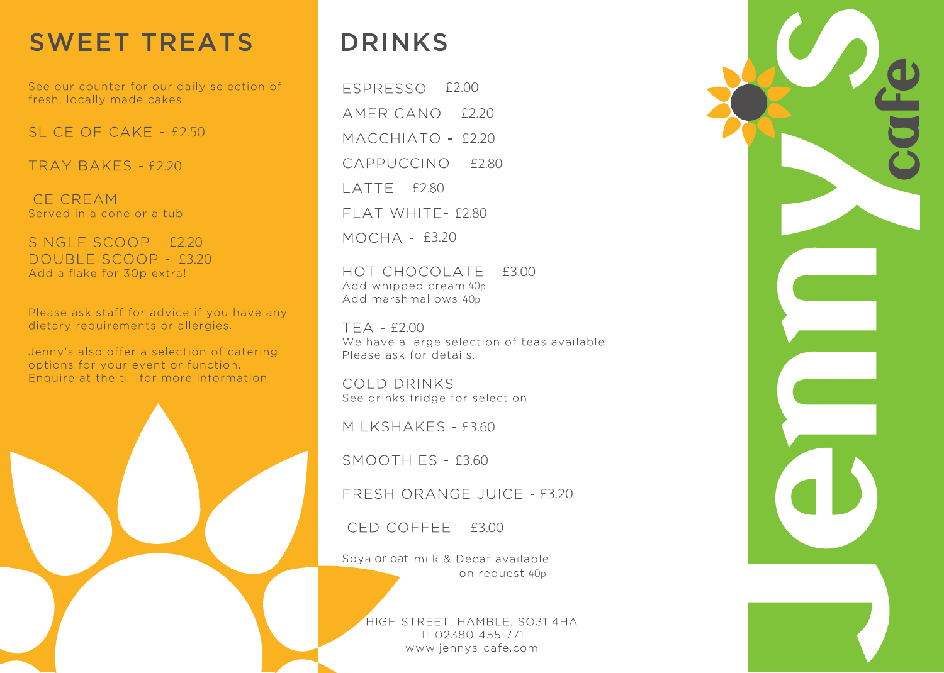## **SWEET TREATS**

See our counter for our daily selection of fresh, locally made cakes.

SLICE OF CAKE - £2.50

 $TRAY BAKFS - f220$ 

**ICE CREAM** Served in a cone or a tub

SINGLE SCOOP - £2.20 DOUBLE SCOOP - £3.20<br>Add a flake for 30p extra!

Please ask staff for advice if you have any dietary requirements or allergies.

Jenny's also offer a selection of catering options for your event or function. Enquire at the till for more information.

## **DRINKS**

 $MOCHA - E3.20$ **FSPRESSO - £2.00**  $AMFRICANO - f220$ MACCHIATO - £2.20 CAPPUCCINO - £2.80  $LATTE - f280$  $F$  $AT$  WHITF- $f$ 2.80

HOT CHOCOLATE - £3.00 Add whipped cream 40p Add marshmallows 40p

TEA - £2.00<br>We have a large selection of teas available. Please ask for details.

COLD DRINKS See drinks fridge for selection

MILKSHAKES - £3.60

SMOOTHIES - £3.60

FRESH ORANGE JUICE - £3.20

 $ICED COFEEE - f3.00$ 

on request 40p Soya or oat milk & Decaf available

> HIGH STREET, HAMBLE, SO31 4HA T: 02380 455 771 www.jennys-cafe.com